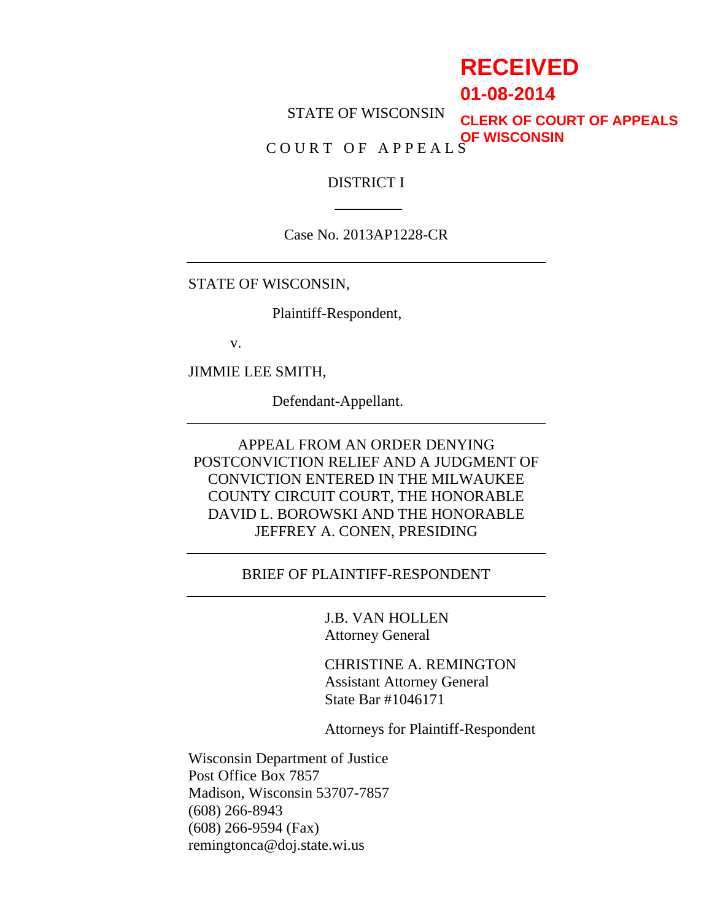# **RECEIVED**

**01-08-2014**

STATE OF WISCONSIN **CLERK OF COURT OF APPEALS OF WISCONSIN**

COURT OF APPEALS

## DISTRICT I

Case No. 2013AP1228-CR

STATE OF WISCONSIN,

Plaintiff-Respondent,

v.

JIMMIE LEE SMITH,

Defendant-Appellant.

APPEAL FROM AN ORDER DENYING POSTCONVICTION RELIEF AND A JUDGMENT OF CONVICTION ENTERED IN THE MILWAUKEE COUNTY CIRCUIT COURT, THE HONORABLE DAVID L. BOROWSKI AND THE HONORABLE JEFFREY A. CONEN, PRESIDING

## BRIEF OF PLAINTIFF-RESPONDENT

J.B. VAN HOLLEN Attorney General

CHRISTINE A. REMINGTON Assistant Attorney General State Bar #1046171

Attorneys for Plaintiff-Respondent

Wisconsin Department of Justice Post Office Box 7857 Madison, Wisconsin 53707-7857 (608) 266-8943 (608) 266-9594 (Fax) remingtonca@doj.state.wi.us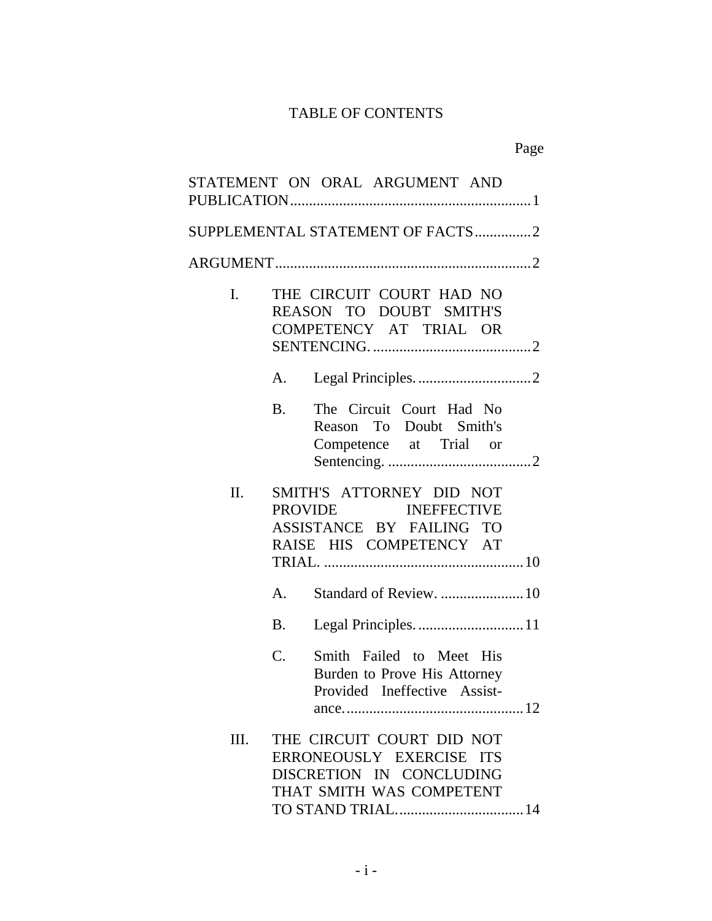## TABLE OF CONTENTS

|                | STATEMENT ON ORAL ARGUMENT AND                                                                                |  |  |
|----------------|---------------------------------------------------------------------------------------------------------------|--|--|
|                | SUPPLEMENTAL STATEMENT OF FACTS2                                                                              |  |  |
|                |                                                                                                               |  |  |
| $\mathbf{I}$ . | THE CIRCUIT COURT HAD NO<br>REASON TO DOUBT SMITH'S<br>COMPETENCY AT TRIAL OR                                 |  |  |
|                | Α.                                                                                                            |  |  |
|                | The Circuit Court Had No<br>B <sub>1</sub><br>Reason To Doubt Smith's<br>Competence at Trial or               |  |  |
| Π.             | SMITH'S ATTORNEY DID NOT<br>PROVIDE INEFFECTIVE<br>ASSISTANCE BY FAILING TO<br>RAISE HIS COMPETENCY AT        |  |  |
|                | Standard of Review.  10<br>$A_{\cdot}$                                                                        |  |  |
|                | Legal Principles 11<br><b>B.</b>                                                                              |  |  |
|                | $\mathcal{C}$ .<br>Smith Failed to Meet His<br>Burden to Prove His Attorney<br>Provided Ineffective Assist-   |  |  |
| III.           | THE CIRCUIT COURT DID NOT<br>ERRONEOUSLY EXERCISE ITS<br>DISCRETION IN CONCLUDING<br>THAT SMITH WAS COMPETENT |  |  |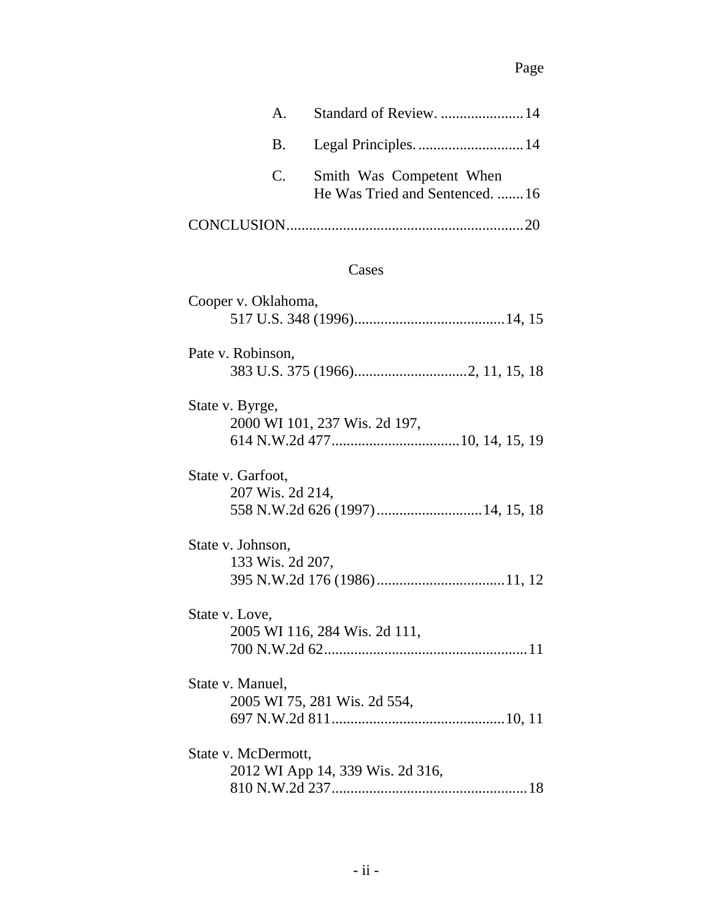## Page

| $\mathsf{A}_{\cdot}$ | Standard of Review.  14                                    |
|----------------------|------------------------------------------------------------|
| B.                   |                                                            |
| C.                   | Smith Was Competent When<br>He Was Tried and Sentenced. 16 |
|                      | -20                                                        |
|                      | Cases                                                      |
| Cooper v. Oklahoma,  |                                                            |

| Pate v. Robinson, |  |
|-------------------|--|
|                   |  |
|                   |  |
| State v. Byrge,   |  |

| 2000 WI 101, 237 Wis. 2d 197, |  |  |
|-------------------------------|--|--|
|                               |  |  |

| State v. Garfoot, |  |
|-------------------|--|
| 207 Wis. 2d 214,  |  |
|                   |  |

| State v. Johnson, |  |
|-------------------|--|
| 133 Wis. 2d 207,  |  |
|                   |  |

| State v. Love,<br>2005 WI 116, 284 Wis. 2d 111, |  |
|-------------------------------------------------|--|
|                                                 |  |
| State v. Manuel,                                |  |
| 2005 WI 75, 281 Wis. 2d 554,                    |  |
|                                                 |  |

| State v. McDermott,              |  |
|----------------------------------|--|
| 2012 WI App 14, 339 Wis. 2d 316, |  |
|                                  |  |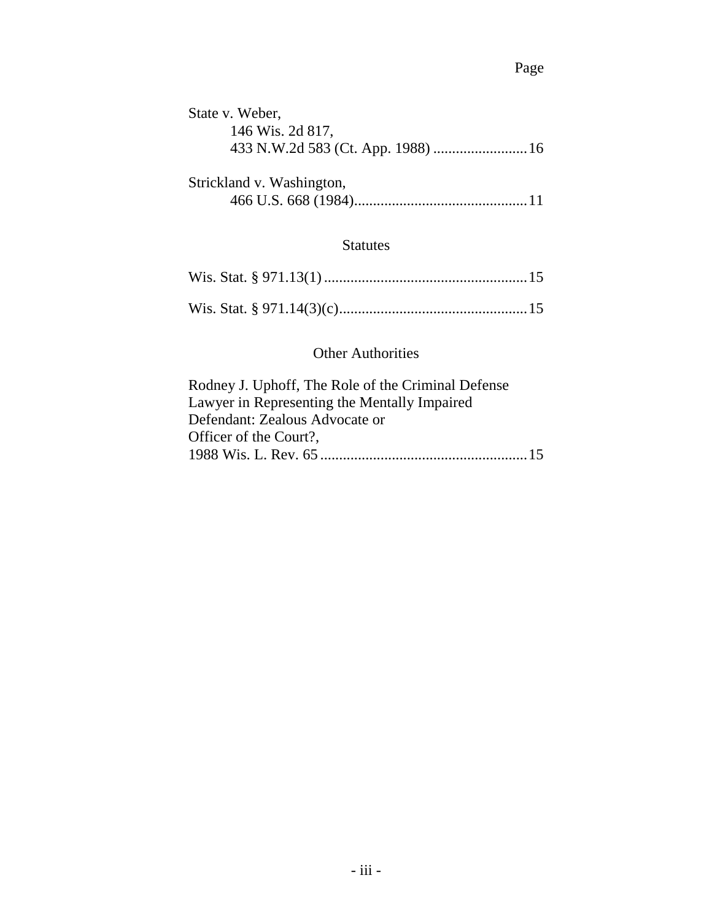| State v. Weber,           |  |
|---------------------------|--|
| 146 Wis. 2d 817,          |  |
|                           |  |
|                           |  |
| Strickland v. Washington, |  |
|                           |  |
|                           |  |

## Statutes

## Other Authorities

| Rodney J. Uphoff, The Role of the Criminal Defense |  |
|----------------------------------------------------|--|
| Lawyer in Representing the Mentally Impaired       |  |
| Defendant: Zealous Advocate or                     |  |
| Officer of the Court?,                             |  |
|                                                    |  |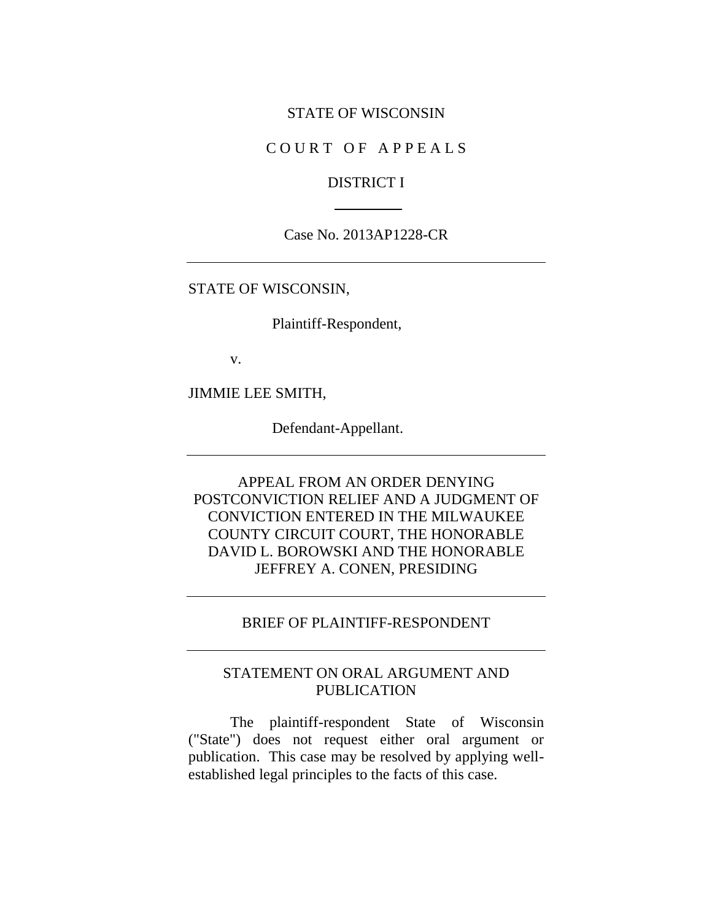#### STATE OF WISCONSIN

## COURT OF APPEALS

## DISTRICT I

### Case No. 2013AP1228-CR

### STATE OF WISCONSIN,

Plaintiff-Respondent,

v.

JIMMIE LEE SMITH,

Defendant-Appellant.

APPEAL FROM AN ORDER DENYING POSTCONVICTION RELIEF AND A JUDGMENT OF CONVICTION ENTERED IN THE MILWAUKEE COUNTY CIRCUIT COURT, THE HONORABLE DAVID L. BOROWSKI AND THE HONORABLE JEFFREY A. CONEN, PRESIDING

## BRIEF OF PLAINTIFF-RESPONDENT

## STATEMENT ON ORAL ARGUMENT AND PUBLICATION

The plaintiff-respondent State of Wisconsin ("State") does not request either oral argument or publication. This case may be resolved by applying wellestablished legal principles to the facts of this case.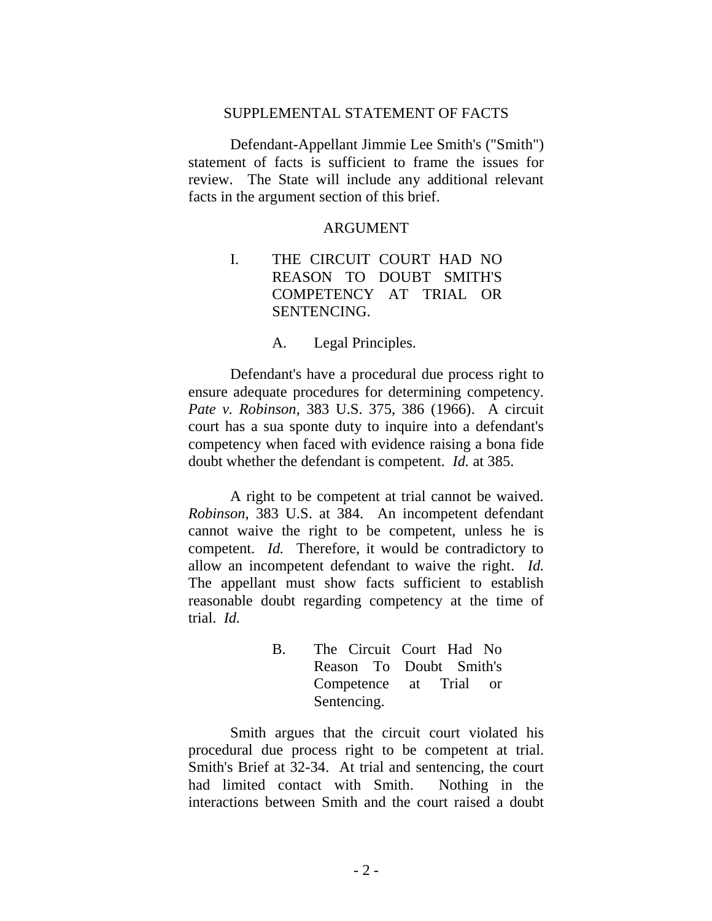## SUPPLEMENTAL STATEMENT OF FACTS

Defendant-Appellant Jimmie Lee Smith's ("Smith") statement of facts is sufficient to frame the issues for review. The State will include any additional relevant facts in the argument section of this brief.

#### **ARGUMENT**

I. THE CIRCUIT COURT HAD NO REASON TO DOUBT SMITH'S COMPETENCY AT TRIAL OR SENTENCING.

A. Legal Principles.

Defendant's have a procedural due process right to ensure adequate procedures for determining competency. *Pate v. Robinson*, 383 U.S. 375, 386 (1966). A circuit court has a sua sponte duty to inquire into a defendant's competency when faced with evidence raising a bona fide doubt whether the defendant is competent. *Id.* at 385.

A right to be competent at trial cannot be waived. *Robinson*, 383 U.S. at 384. An incompetent defendant cannot waive the right to be competent, unless he is competent. *Id.* Therefore, it would be contradictory to allow an incompetent defendant to waive the right. *Id.*  The appellant must show facts sufficient to establish reasonable doubt regarding competency at the time of trial. *Id.*

> B. The Circuit Court Had No Reason To Doubt Smith's Competence at Trial or Sentencing.

Smith argues that the circuit court violated his procedural due process right to be competent at trial. Smith's Brief at 32-34. At trial and sentencing, the court had limited contact with Smith. Nothing in the interactions between Smith and the court raised a doubt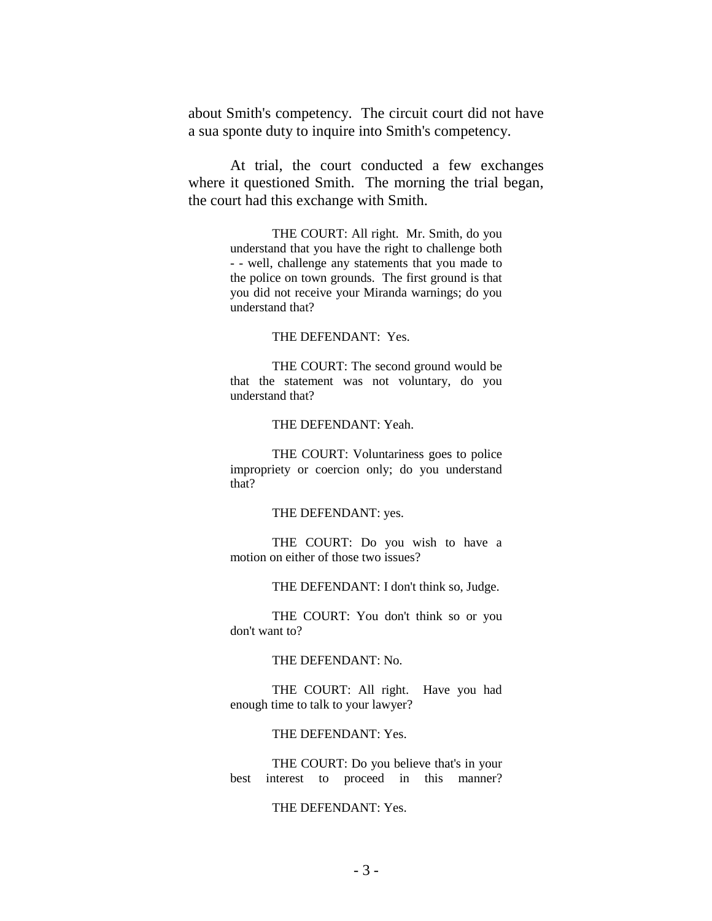about Smith's competency. The circuit court did not have a sua sponte duty to inquire into Smith's competency.

At trial, the court conducted a few exchanges where it questioned Smith. The morning the trial began, the court had this exchange with Smith.

> THE COURT: All right. Mr. Smith, do you understand that you have the right to challenge both - - well, challenge any statements that you made to the police on town grounds. The first ground is that you did not receive your Miranda warnings; do you understand that?

#### THE DEFENDANT: Yes.

THE COURT: The second ground would be that the statement was not voluntary, do you understand that?

#### THE DEFENDANT: Yeah.

THE COURT: Voluntariness goes to police impropriety or coercion only; do you understand that?

#### THE DEFENDANT: yes.

THE COURT: Do you wish to have a motion on either of those two issues?

THE DEFENDANT: I don't think so, Judge.

THE COURT: You don't think so or you don't want to?

#### THE DEFENDANT: No.

THE COURT: All right. Have you had enough time to talk to your lawyer?

#### THE DEFENDANT: Yes.

THE COURT: Do you believe that's in your best interest to proceed in this manner?

#### THE DEFENDANT: Yes.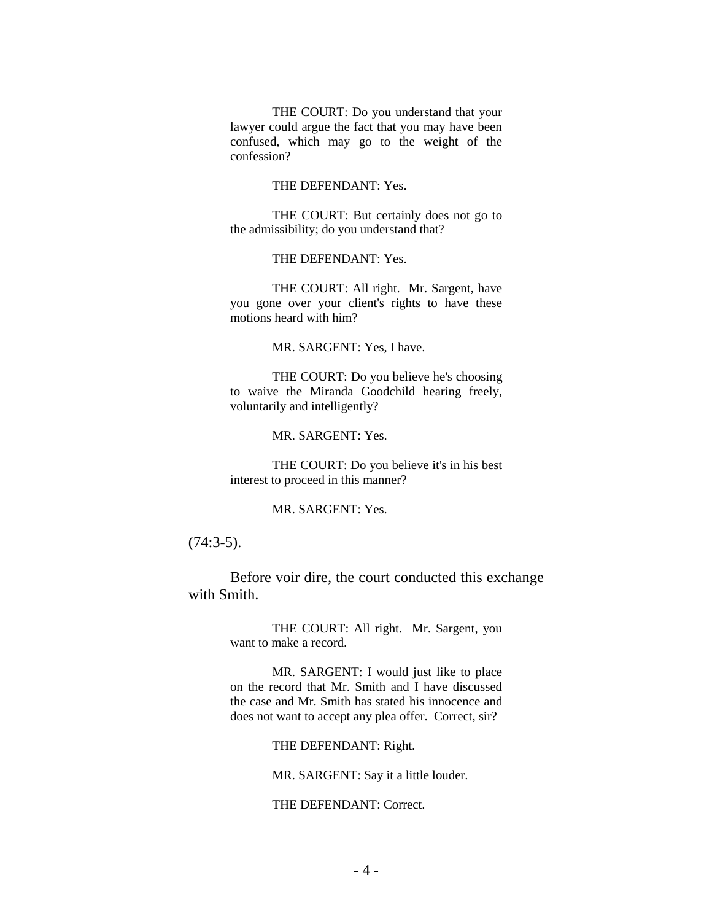THE COURT: Do you understand that your lawyer could argue the fact that you may have been confused, which may go to the weight of the confession?

#### THE DEFENDANT: Yes.

THE COURT: But certainly does not go to the admissibility; do you understand that?

THE DEFENDANT: Yes.

THE COURT: All right. Mr. Sargent, have you gone over your client's rights to have these motions heard with him?

MR. SARGENT: Yes, I have.

THE COURT: Do you believe he's choosing to waive the Miranda Goodchild hearing freely, voluntarily and intelligently?

MR. SARGENT: Yes.

THE COURT: Do you believe it's in his best interest to proceed in this manner?

MR. SARGENT: Yes.

(74:3-5).

Before voir dire, the court conducted this exchange with Smith.

> THE COURT: All right. Mr. Sargent, you want to make a record.

> MR. SARGENT: I would just like to place on the record that Mr. Smith and I have discussed the case and Mr. Smith has stated his innocence and does not want to accept any plea offer. Correct, sir?

> > THE DEFENDANT: Right.

MR. SARGENT: Say it a little louder.

THE DEFENDANT: Correct.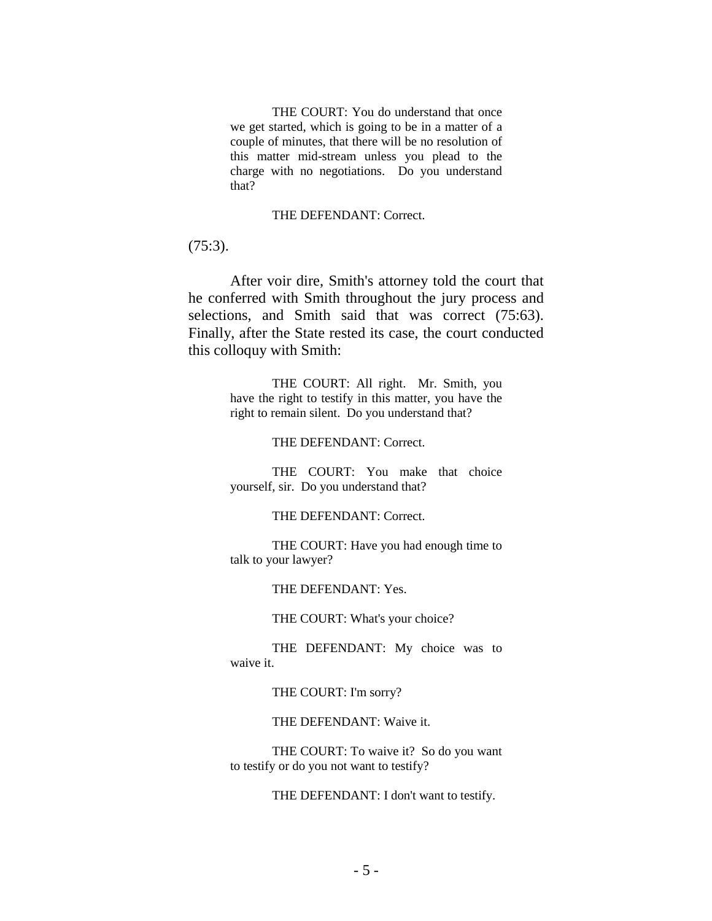THE COURT: You do understand that once we get started, which is going to be in a matter of a couple of minutes, that there will be no resolution of this matter mid-stream unless you plead to the charge with no negotiations. Do you understand that?

#### THE DEFENDANT: Correct.

(75:3).

After voir dire, Smith's attorney told the court that he conferred with Smith throughout the jury process and selections, and Smith said that was correct (75:63). Finally, after the State rested its case, the court conducted this colloquy with Smith:

> THE COURT: All right. Mr. Smith, you have the right to testify in this matter, you have the right to remain silent. Do you understand that?

> > THE DEFENDANT: Correct.

THE COURT: You make that choice yourself, sir. Do you understand that?

THE DEFENDANT: Correct.

THE COURT: Have you had enough time to talk to your lawyer?

THE DEFENDANT: Yes.

THE COURT: What's your choice?

THE DEFENDANT: My choice was to waive it.

THE COURT: I'm sorry?

THE DEFENDANT: Waive it.

THE COURT: To waive it? So do you want to testify or do you not want to testify?

THE DEFENDANT: I don't want to testify.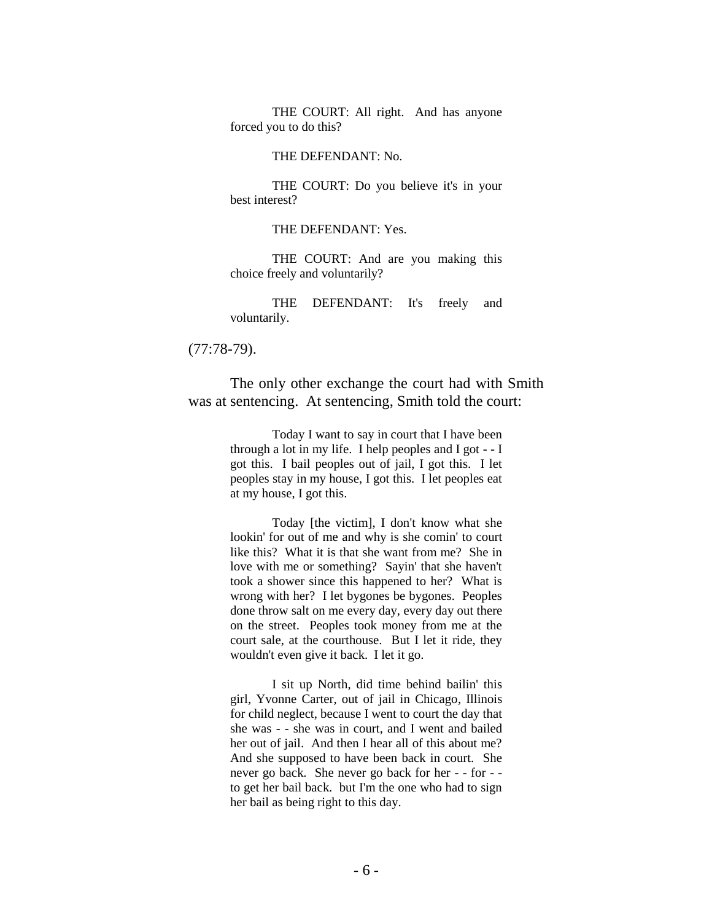THE COURT: All right. And has anyone forced you to do this?

#### THE DEFENDANT: No.

THE COURT: Do you believe it's in your best interest?

#### THE DEFENDANT: Yes.

THE COURT: And are you making this choice freely and voluntarily?

THE DEFENDANT: It's freely and voluntarily.

(77:78-79).

The only other exchange the court had with Smith was at sentencing. At sentencing, Smith told the court:

> Today I want to say in court that I have been through a lot in my life. I help peoples and I got - - I got this. I bail peoples out of jail, I got this. I let peoples stay in my house, I got this. I let peoples eat at my house, I got this.

> Today [the victim], I don't know what she lookin' for out of me and why is she comin' to court like this? What it is that she want from me? She in love with me or something? Sayin' that she haven't took a shower since this happened to her? What is wrong with her? I let bygones be bygones. Peoples done throw salt on me every day, every day out there on the street. Peoples took money from me at the court sale, at the courthouse. But I let it ride, they wouldn't even give it back. I let it go.

> I sit up North, did time behind bailin' this girl, Yvonne Carter, out of jail in Chicago, Illinois for child neglect, because I went to court the day that she was - - she was in court, and I went and bailed her out of jail. And then I hear all of this about me? And she supposed to have been back in court. She never go back. She never go back for her - - for - to get her bail back. but I'm the one who had to sign her bail as being right to this day.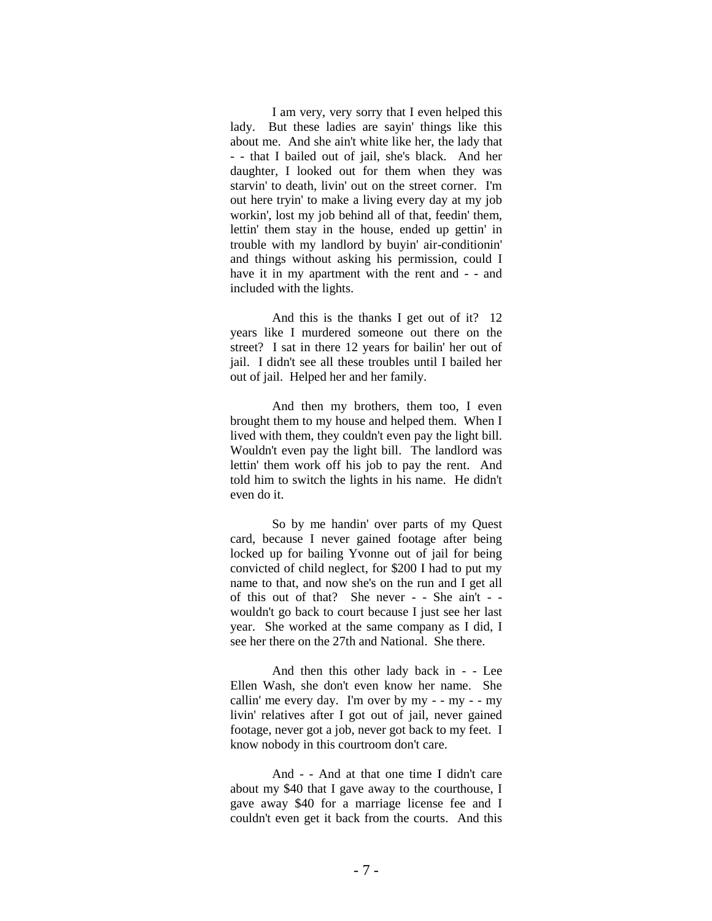I am very, very sorry that I even helped this lady. But these ladies are sayin' things like this about me. And she ain't white like her, the lady that - - that I bailed out of jail, she's black. And her daughter, I looked out for them when they was starvin' to death, livin' out on the street corner. I'm out here tryin' to make a living every day at my job workin', lost my job behind all of that, feedin' them, lettin' them stay in the house, ended up gettin' in trouble with my landlord by buyin' air-conditionin' and things without asking his permission, could I have it in my apartment with the rent and - - and included with the lights.

And this is the thanks I get out of it? 12 years like I murdered someone out there on the street? I sat in there 12 years for bailin' her out of jail. I didn't see all these troubles until I bailed her out of jail. Helped her and her family.

And then my brothers, them too, I even brought them to my house and helped them. When I lived with them, they couldn't even pay the light bill. Wouldn't even pay the light bill. The landlord was lettin' them work off his job to pay the rent. And told him to switch the lights in his name. He didn't even do it.

So by me handin' over parts of my Quest card, because I never gained footage after being locked up for bailing Yvonne out of jail for being convicted of child neglect, for \$200 I had to put my name to that, and now she's on the run and I get all of this out of that? She never - - She ain't - wouldn't go back to court because I just see her last year. She worked at the same company as I did, I see her there on the 27th and National. She there.

And then this other lady back in - - Lee Ellen Wash, she don't even know her name. She callin' me every day. I'm over by  $my - - my - - my$ livin' relatives after I got out of jail, never gained footage, never got a job, never got back to my feet. I know nobody in this courtroom don't care.

And - - And at that one time I didn't care about my \$40 that I gave away to the courthouse, I gave away \$40 for a marriage license fee and I couldn't even get it back from the courts. And this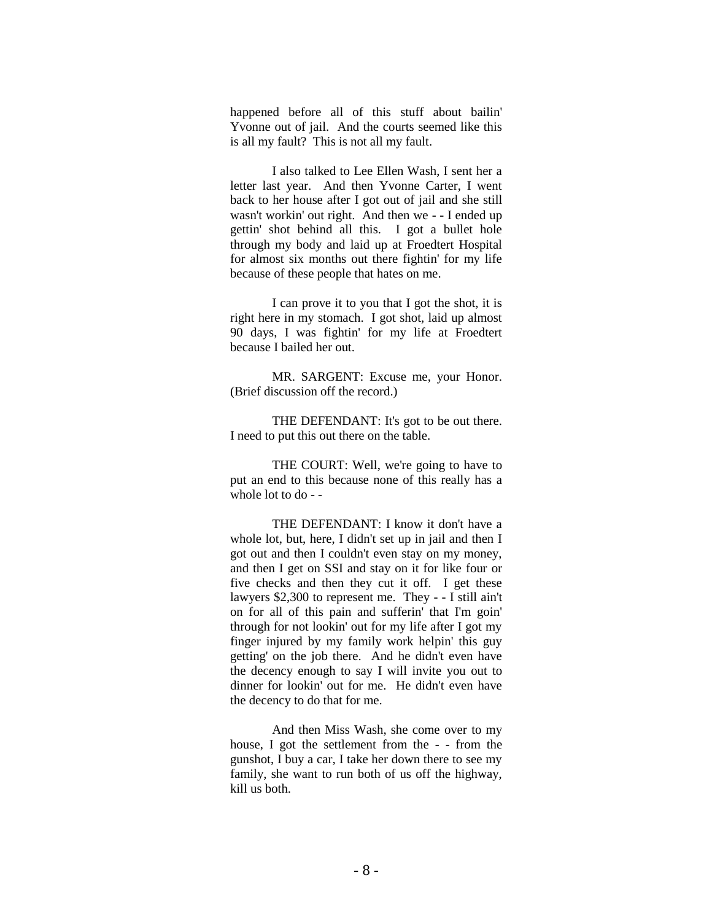happened before all of this stuff about bailin' Yvonne out of jail. And the courts seemed like this is all my fault? This is not all my fault.

I also talked to Lee Ellen Wash, I sent her a letter last year. And then Yvonne Carter, I went back to her house after I got out of jail and she still wasn't workin' out right. And then we - - I ended up gettin' shot behind all this. I got a bullet hole through my body and laid up at Froedtert Hospital for almost six months out there fightin' for my life because of these people that hates on me.

I can prove it to you that I got the shot, it is right here in my stomach. I got shot, laid up almost 90 days, I was fightin' for my life at Froedtert because I bailed her out.

MR. SARGENT: Excuse me, your Honor. (Brief discussion off the record.)

THE DEFENDANT: It's got to be out there. I need to put this out there on the table.

THE COURT: Well, we're going to have to put an end to this because none of this really has a whole lot to do - -

THE DEFENDANT: I know it don't have a whole lot, but, here, I didn't set up in jail and then I got out and then I couldn't even stay on my money, and then I get on SSI and stay on it for like four or five checks and then they cut it off. I get these lawyers \$2,300 to represent me. They - - I still ain't on for all of this pain and sufferin' that I'm goin' through for not lookin' out for my life after I got my finger injured by my family work helpin' this guy getting' on the job there. And he didn't even have the decency enough to say I will invite you out to dinner for lookin' out for me. He didn't even have the decency to do that for me.

And then Miss Wash, she come over to my house, I got the settlement from the - - from the gunshot, I buy a car, I take her down there to see my family, she want to run both of us off the highway, kill us both.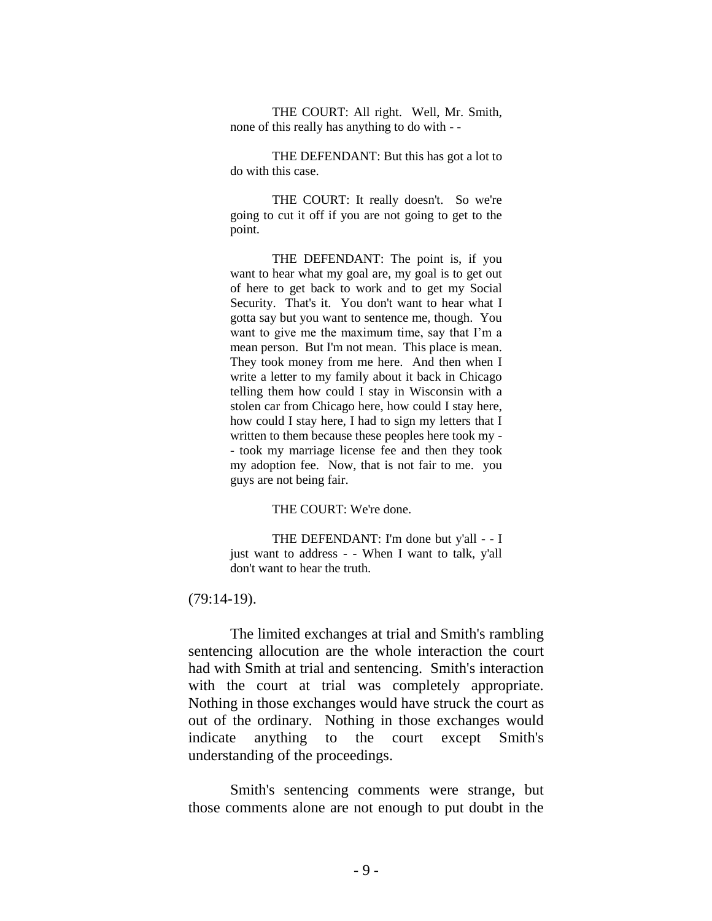THE COURT: All right. Well, Mr. Smith, none of this really has anything to do with - -

THE DEFENDANT: But this has got a lot to do with this case.

THE COURT: It really doesn't. So we're going to cut it off if you are not going to get to the point.

THE DEFENDANT: The point is, if you want to hear what my goal are, my goal is to get out of here to get back to work and to get my Social Security. That's it. You don't want to hear what I gotta say but you want to sentence me, though. You want to give me the maximum time, say that I'm a mean person. But I'm not mean. This place is mean. They took money from me here. And then when I write a letter to my family about it back in Chicago telling them how could I stay in Wisconsin with a stolen car from Chicago here, how could I stay here, how could I stay here, I had to sign my letters that I written to them because these peoples here took my - - took my marriage license fee and then they took my adoption fee. Now, that is not fair to me. you guys are not being fair.

#### THE COURT: We're done.

THE DEFENDANT: I'm done but y'all - - I just want to address - - When I want to talk, y'all don't want to hear the truth.

(79:14-19).

The limited exchanges at trial and Smith's rambling sentencing allocution are the whole interaction the court had with Smith at trial and sentencing. Smith's interaction with the court at trial was completely appropriate. Nothing in those exchanges would have struck the court as out of the ordinary. Nothing in those exchanges would indicate anything to the court except Smith's understanding of the proceedings.

Smith's sentencing comments were strange, but those comments alone are not enough to put doubt in the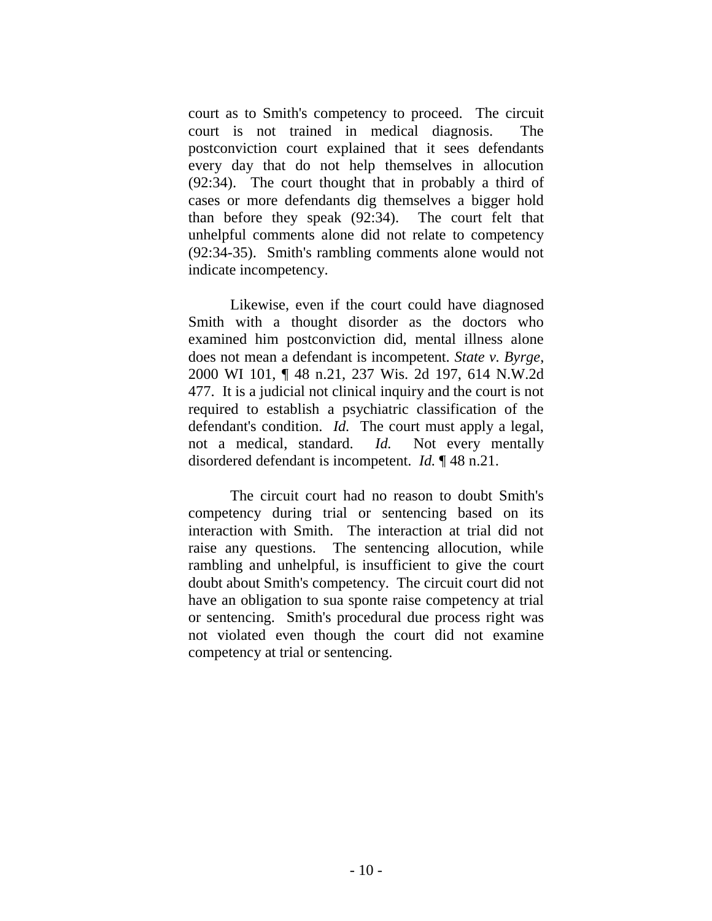court as to Smith's competency to proceed. The circuit court is not trained in medical diagnosis. The postconviction court explained that it sees defendants every day that do not help themselves in allocution (92:34). The court thought that in probably a third of cases or more defendants dig themselves a bigger hold than before they speak (92:34). The court felt that unhelpful comments alone did not relate to competency (92:34-35). Smith's rambling comments alone would not indicate incompetency.

Likewise, even if the court could have diagnosed Smith with a thought disorder as the doctors who examined him postconviction did, mental illness alone does not mean a defendant is incompetent. *State v. Byrge*, 2000 WI 101, ¶ 48 n.21, 237 Wis. 2d 197, 614 N.W.2d 477. It is a judicial not clinical inquiry and the court is not required to establish a psychiatric classification of the defendant's condition. *Id.* The court must apply a legal, not a medical, standard. *Id.* Not every mentally disordered defendant is incompetent. *Id.* ¶ 48 n.21.

The circuit court had no reason to doubt Smith's competency during trial or sentencing based on its interaction with Smith. The interaction at trial did not raise any questions. The sentencing allocution, while rambling and unhelpful, is insufficient to give the court doubt about Smith's competency. The circuit court did not have an obligation to sua sponte raise competency at trial or sentencing. Smith's procedural due process right was not violated even though the court did not examine competency at trial or sentencing.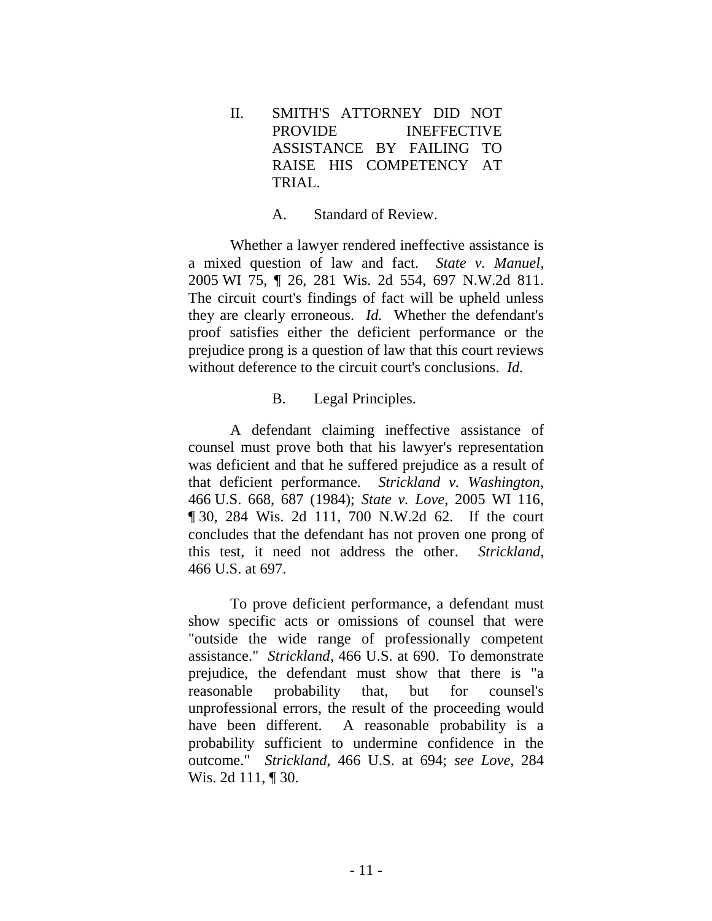II. SMITH'S ATTORNEY DID NOT PROVIDE INEFFECTIVE ASSISTANCE BY FAILING TO RAISE HIS COMPETENCY AT TRIAL.

## A. Standard of Review.

Whether a lawyer rendered ineffective assistance is a mixed question of law and fact. *State v. Manuel*, 2005 WI 75, ¶ 26, 281 Wis. 2d 554, 697 N.W.2d 811. The circuit court's findings of fact will be upheld unless they are clearly erroneous. *Id.* Whether the defendant's proof satisfies either the deficient performance or the prejudice prong is a question of law that this court reviews without deference to the circuit court's conclusions. *Id.* 

## B. Legal Principles.

A defendant claiming ineffective assistance of counsel must prove both that his lawyer's representation was deficient and that he suffered prejudice as a result of that deficient performance. *Strickland v. Washington*, 466 U.S. 668, 687 (1984); *State v. Love*, 2005 WI 116, ¶ 30, 284 Wis. 2d 111, 700 N.W.2d 62. If the court concludes that the defendant has not proven one prong of this test, it need not address the other. *Strickland*, 466 U.S. at 697.

To prove deficient performance, a defendant must show specific acts or omissions of counsel that were "outside the wide range of professionally competent assistance." *Strickland*, 466 U.S. at 690. To demonstrate prejudice, the defendant must show that there is "a reasonable probability that, but for counsel's unprofessional errors, the result of the proceeding would have been different. A reasonable probability is a probability sufficient to undermine confidence in the outcome." *Strickland*, 466 U.S. at 694; *see Love*, 284 Wis. 2d 111, ¶ 30.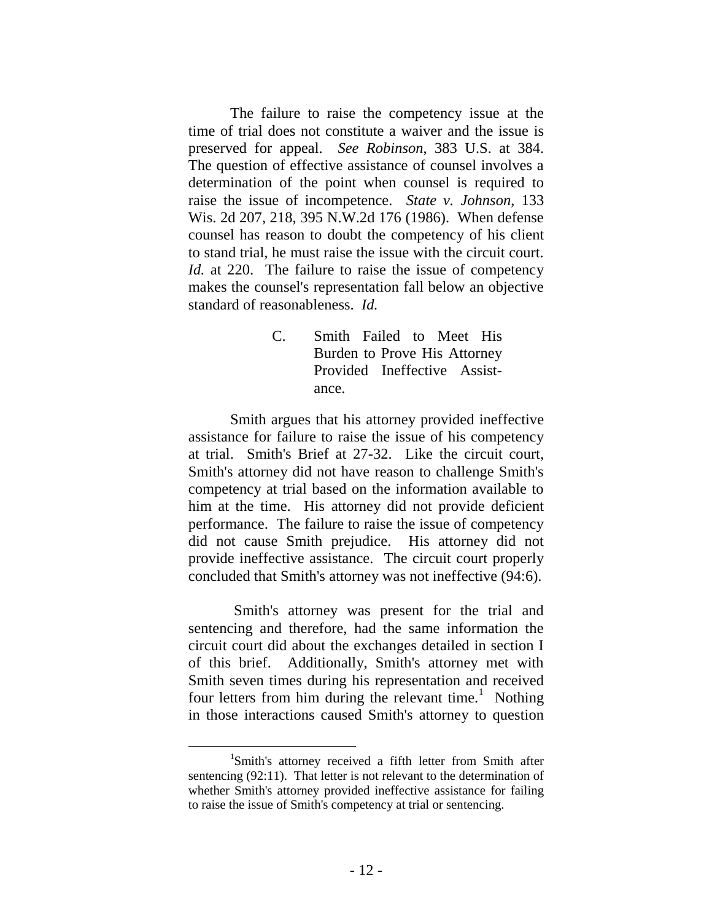The failure to raise the competency issue at the time of trial does not constitute a waiver and the issue is preserved for appeal. *See Robinson*, 383 U.S. at 384. The question of effective assistance of counsel involves a determination of the point when counsel is required to raise the issue of incompetence. *State v. Johnson*, 133 Wis. 2d 207, 218, 395 N.W.2d 176 (1986). When defense counsel has reason to doubt the competency of his client to stand trial, he must raise the issue with the circuit court. *Id.* at 220. The failure to raise the issue of competency makes the counsel's representation fall below an objective standard of reasonableness. *Id.*

> C. Smith Failed to Meet His Burden to Prove His Attorney Provided Ineffective Assistance.

Smith argues that his attorney provided ineffective assistance for failure to raise the issue of his competency at trial. Smith's Brief at 27-32. Like the circuit court, Smith's attorney did not have reason to challenge Smith's competency at trial based on the information available to him at the time. His attorney did not provide deficient performance. The failure to raise the issue of competency did not cause Smith prejudice. His attorney did not provide ineffective assistance. The circuit court properly concluded that Smith's attorney was not ineffective (94:6).

Smith's attorney was present for the trial and sentencing and therefore, had the same information the circuit court did about the exchanges detailed in section I of this brief. Additionally, Smith's attorney met with Smith seven times during his representation and received four letters from him during the relevant time.<sup>1</sup> Nothing in those interactions caused Smith's attorney to question

<sup>1</sup> Smith's attorney received a fifth letter from Smith after sentencing (92:11). That letter is not relevant to the determination of whether Smith's attorney provided ineffective assistance for failing to raise the issue of Smith's competency at trial or sentencing.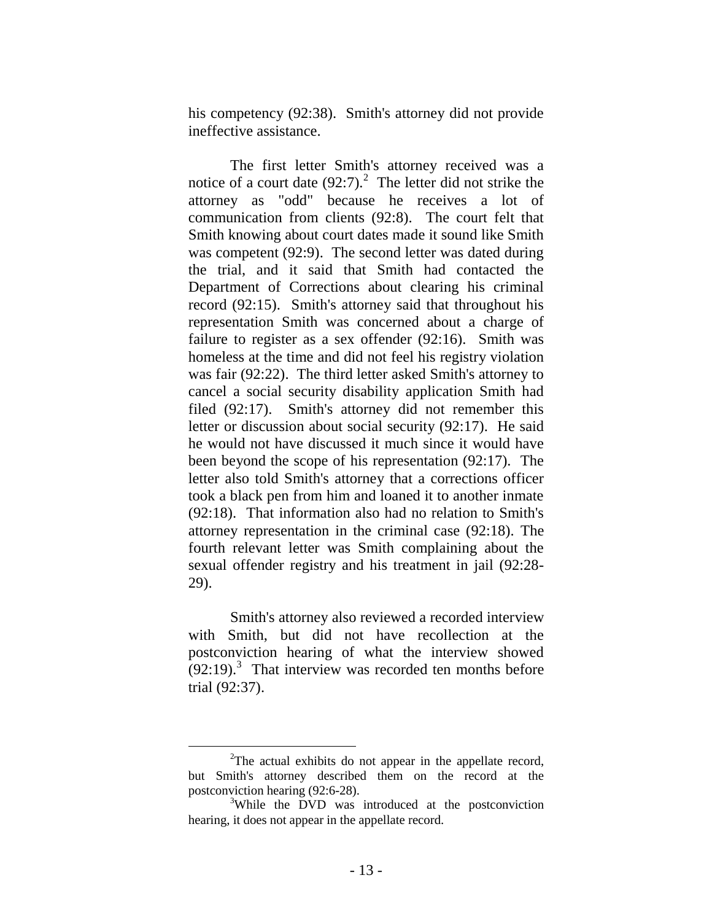his competency (92:38). Smith's attorney did not provide ineffective assistance.

The first letter Smith's attorney received was a notice of a court date  $(92.7)$ .<sup>2</sup> The letter did not strike the attorney as "odd" because he receives a lot of communication from clients (92:8). The court felt that Smith knowing about court dates made it sound like Smith was competent (92:9). The second letter was dated during the trial, and it said that Smith had contacted the Department of Corrections about clearing his criminal record (92:15). Smith's attorney said that throughout his representation Smith was concerned about a charge of failure to register as a sex offender (92:16). Smith was homeless at the time and did not feel his registry violation was fair (92:22). The third letter asked Smith's attorney to cancel a social security disability application Smith had filed (92:17). Smith's attorney did not remember this letter or discussion about social security (92:17). He said he would not have discussed it much since it would have been beyond the scope of his representation (92:17). The letter also told Smith's attorney that a corrections officer took a black pen from him and loaned it to another inmate (92:18). That information also had no relation to Smith's attorney representation in the criminal case (92:18). The fourth relevant letter was Smith complaining about the sexual offender registry and his treatment in jail (92:28- 29).

Smith's attorney also reviewed a recorded interview with Smith, but did not have recollection at the postconviction hearing of what the interview showed  $(92:19)$ .<sup>3</sup> That interview was recorded ten months before trial (92:37).

<sup>&</sup>lt;sup>2</sup>The actual exhibits do not appear in the appellate record, but Smith's attorney described them on the record at the postconviction hearing (92:6-28).

<sup>&</sup>lt;sup>3</sup>While the DVD was introduced at the postconviction hearing, it does not appear in the appellate record.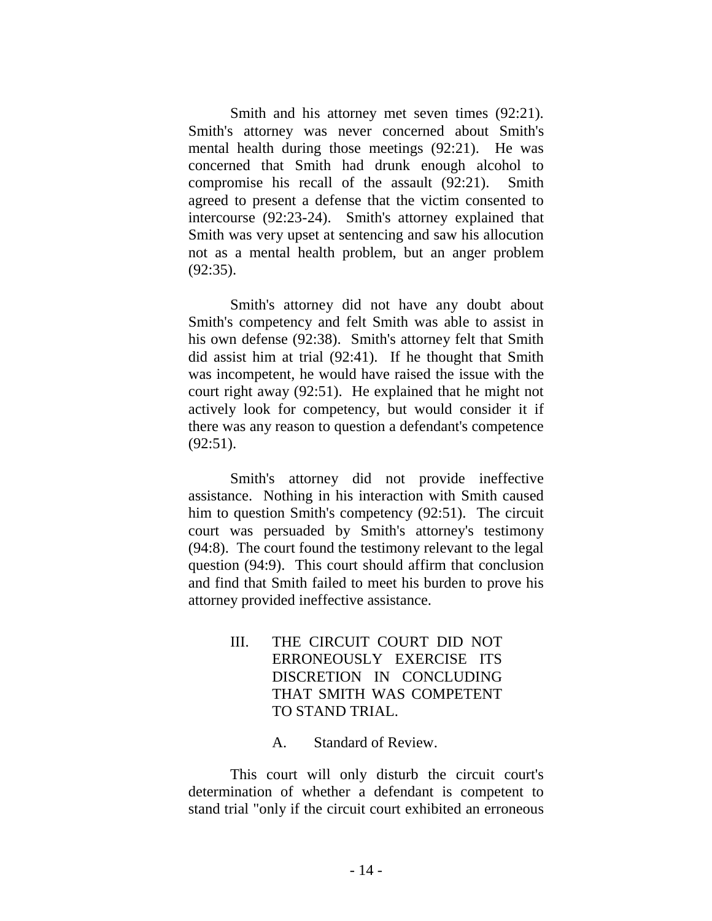Smith and his attorney met seven times (92:21). Smith's attorney was never concerned about Smith's mental health during those meetings (92:21). He was concerned that Smith had drunk enough alcohol to compromise his recall of the assault (92:21). Smith agreed to present a defense that the victim consented to intercourse (92:23-24). Smith's attorney explained that Smith was very upset at sentencing and saw his allocution not as a mental health problem, but an anger problem (92:35).

Smith's attorney did not have any doubt about Smith's competency and felt Smith was able to assist in his own defense (92:38). Smith's attorney felt that Smith did assist him at trial (92:41). If he thought that Smith was incompetent, he would have raised the issue with the court right away (92:51). He explained that he might not actively look for competency, but would consider it if there was any reason to question a defendant's competence (92:51).

Smith's attorney did not provide ineffective assistance. Nothing in his interaction with Smith caused him to question Smith's competency (92:51). The circuit court was persuaded by Smith's attorney's testimony (94:8). The court found the testimony relevant to the legal question (94:9). This court should affirm that conclusion and find that Smith failed to meet his burden to prove his attorney provided ineffective assistance.

- III. THE CIRCUIT COURT DID NOT ERRONEOUSLY EXERCISE ITS DISCRETION IN CONCLUDING THAT SMITH WAS COMPETENT TO STAND TRIAL.
	- A. Standard of Review.

This court will only disturb the circuit court's determination of whether a defendant is competent to stand trial "only if the circuit court exhibited an erroneous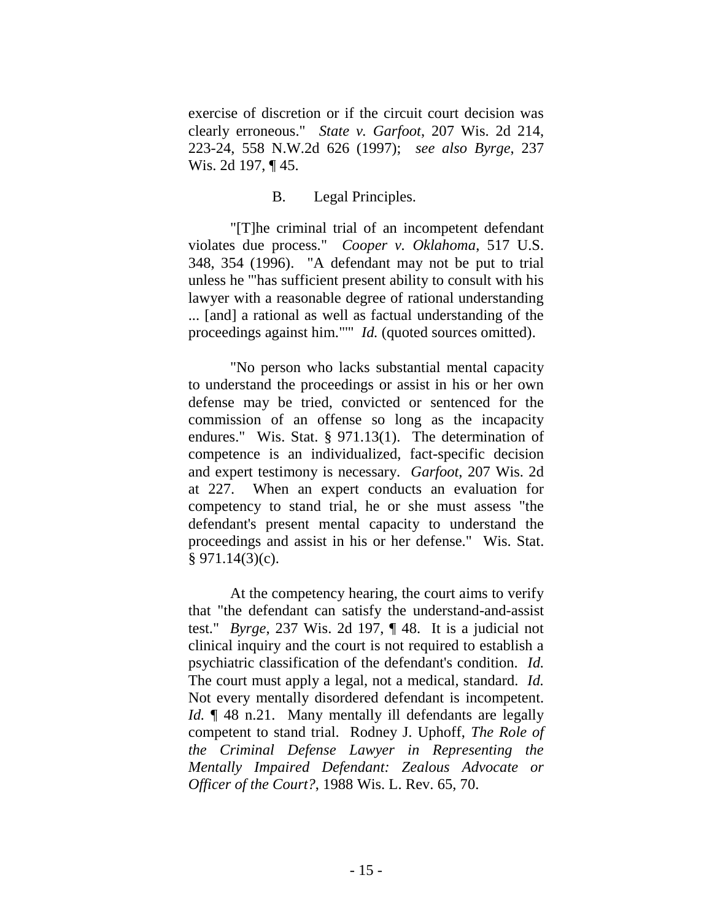exercise of discretion or if the circuit court decision was clearly erroneous." *State v. Garfoot*, 207 Wis. 2d 214, 223-24, 558 N.W.2d 626 (1997); *see also Byrge*, 237 Wis. 2d 197, ¶45.

## B. Legal Principles.

"[T]he criminal trial of an incompetent defendant violates due process." *Cooper v. Oklahoma*, 517 U.S. 348, 354 (1996). "A defendant may not be put to trial unless he '"has sufficient present ability to consult with his lawyer with a reasonable degree of rational understanding ... [and] a rational as well as factual understanding of the proceedings against him."'" *Id.* (quoted sources omitted).

"No person who lacks substantial mental capacity to understand the proceedings or assist in his or her own defense may be tried, convicted or sentenced for the commission of an offense so long as the incapacity endures." Wis. Stat. § 971.13(1). The determination of competence is an individualized, fact-specific decision and expert testimony is necessary. *Garfoot*, 207 Wis. 2d at 227. When an expert conducts an evaluation for competency to stand trial, he or she must assess "the defendant's present mental capacity to understand the proceedings and assist in his or her defense." Wis. Stat.  $§ 971.14(3)(c).$ 

At the competency hearing, the court aims to verify that "the defendant can satisfy the understand-and-assist test." *Byrge*, 237 Wis. 2d 197, ¶ 48. It is a judicial not clinical inquiry and the court is not required to establish a psychiatric classification of the defendant's condition. *Id.* The court must apply a legal, not a medical, standard. *Id.* Not every mentally disordered defendant is incompetent. *Id.* 148 n.21. Many mentally ill defendants are legally competent to stand trial. Rodney J. Uphoff, *The Role of the Criminal Defense Lawyer in Representing the Mentally Impaired Defendant: Zealous Advocate or Officer of the Court?*, 1988 Wis. L. Rev. 65, 70.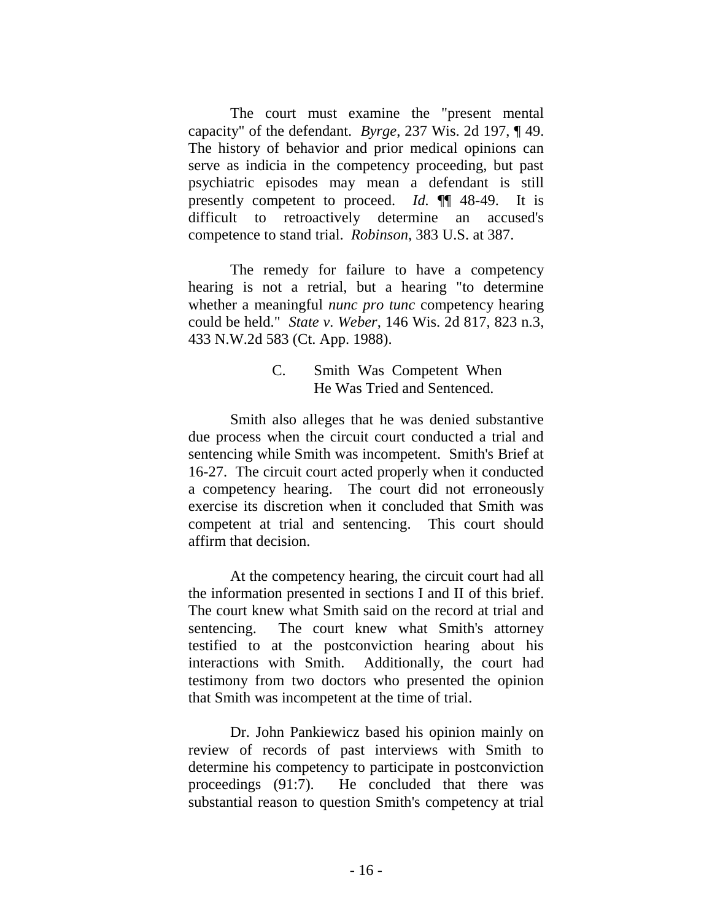The court must examine the "present mental capacity" of the defendant. *Byrge*, 237 Wis. 2d 197, ¶ 49. The history of behavior and prior medical opinions can serve as indicia in the competency proceeding, but past psychiatric episodes may mean a defendant is still presently competent to proceed. *Id.* ¶¶ 48-49. It is difficult to retroactively determine an accused's competence to stand trial. *Robinson*, 383 U.S. at 387.

The remedy for failure to have a competency hearing is not a retrial, but a hearing "to determine whether a meaningful *nunc pro tunc* competency hearing could be held." *State v. Weber*, 146 Wis. 2d 817, 823 n.3, 433 N.W.2d 583 (Ct. App. 1988).

## C. Smith Was Competent When He Was Tried and Sentenced.

Smith also alleges that he was denied substantive due process when the circuit court conducted a trial and sentencing while Smith was incompetent. Smith's Brief at 16-27. The circuit court acted properly when it conducted a competency hearing. The court did not erroneously exercise its discretion when it concluded that Smith was competent at trial and sentencing. This court should affirm that decision.

At the competency hearing, the circuit court had all the information presented in sections I and II of this brief. The court knew what Smith said on the record at trial and sentencing. The court knew what Smith's attorney testified to at the postconviction hearing about his interactions with Smith. Additionally, the court had testimony from two doctors who presented the opinion that Smith was incompetent at the time of trial.

Dr. John Pankiewicz based his opinion mainly on review of records of past interviews with Smith to determine his competency to participate in postconviction proceedings (91:7). He concluded that there was substantial reason to question Smith's competency at trial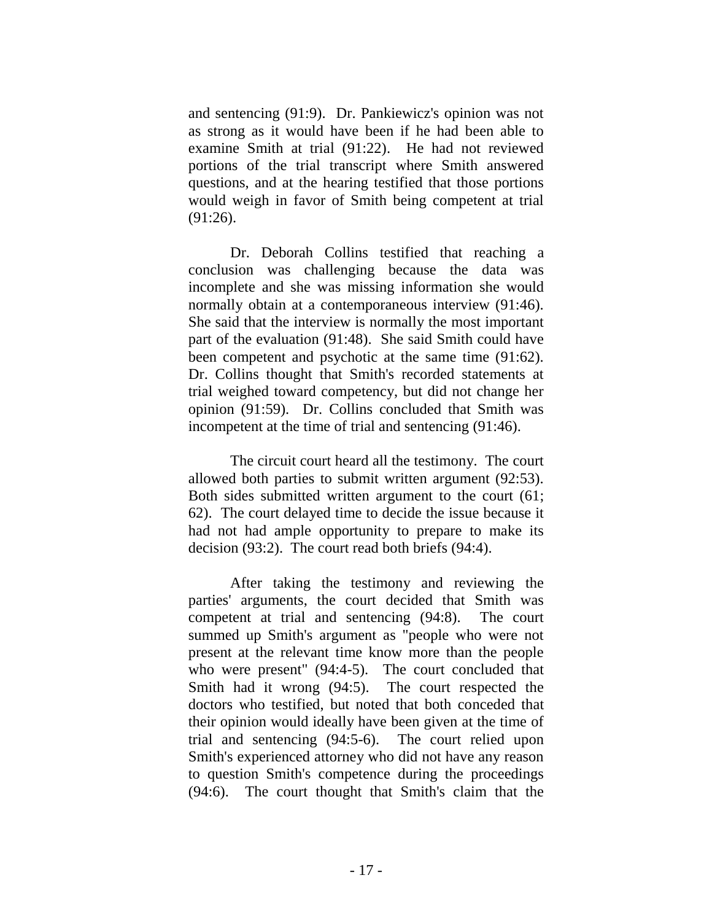and sentencing (91:9). Dr. Pankiewicz's opinion was not as strong as it would have been if he had been able to examine Smith at trial (91:22). He had not reviewed portions of the trial transcript where Smith answered questions, and at the hearing testified that those portions would weigh in favor of Smith being competent at trial (91:26).

Dr. Deborah Collins testified that reaching a conclusion was challenging because the data was incomplete and she was missing information she would normally obtain at a contemporaneous interview (91:46). She said that the interview is normally the most important part of the evaluation (91:48). She said Smith could have been competent and psychotic at the same time (91:62). Dr. Collins thought that Smith's recorded statements at trial weighed toward competency, but did not change her opinion (91:59). Dr. Collins concluded that Smith was incompetent at the time of trial and sentencing (91:46).

The circuit court heard all the testimony. The court allowed both parties to submit written argument (92:53). Both sides submitted written argument to the court (61; 62). The court delayed time to decide the issue because it had not had ample opportunity to prepare to make its decision (93:2). The court read both briefs (94:4).

After taking the testimony and reviewing the parties' arguments, the court decided that Smith was competent at trial and sentencing (94:8). The court summed up Smith's argument as "people who were not present at the relevant time know more than the people who were present" (94:4-5). The court concluded that Smith had it wrong (94:5). The court respected the doctors who testified, but noted that both conceded that their opinion would ideally have been given at the time of trial and sentencing (94:5-6). The court relied upon Smith's experienced attorney who did not have any reason to question Smith's competence during the proceedings (94:6). The court thought that Smith's claim that the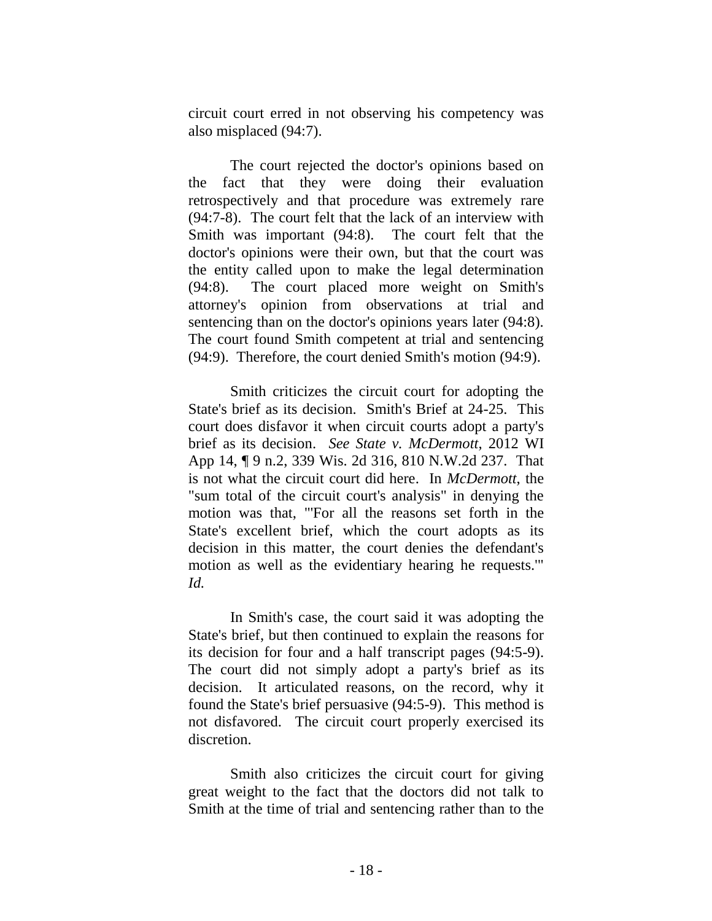circuit court erred in not observing his competency was also misplaced (94:7).

The court rejected the doctor's opinions based on the fact that they were doing their evaluation retrospectively and that procedure was extremely rare (94:7-8). The court felt that the lack of an interview with Smith was important (94:8). The court felt that the doctor's opinions were their own, but that the court was the entity called upon to make the legal determination (94:8). The court placed more weight on Smith's attorney's opinion from observations at trial and sentencing than on the doctor's opinions years later (94:8). The court found Smith competent at trial and sentencing (94:9). Therefore, the court denied Smith's motion (94:9).

Smith criticizes the circuit court for adopting the State's brief as its decision. Smith's Brief at 24-25. This court does disfavor it when circuit courts adopt a party's brief as its decision. *See State v. McDermott*, 2012 WI App 14, ¶ 9 n.2, 339 Wis. 2d 316, 810 N.W.2d 237. That is not what the circuit court did here. In *McDermott*, the "sum total of the circuit court's analysis" in denying the motion was that, "'For all the reasons set forth in the State's excellent brief, which the court adopts as its decision in this matter, the court denies the defendant's motion as well as the evidentiary hearing he requests.'" *Id.*

In Smith's case, the court said it was adopting the State's brief, but then continued to explain the reasons for its decision for four and a half transcript pages (94:5-9). The court did not simply adopt a party's brief as its decision. It articulated reasons, on the record, why it found the State's brief persuasive (94:5-9). This method is not disfavored. The circuit court properly exercised its discretion.

Smith also criticizes the circuit court for giving great weight to the fact that the doctors did not talk to Smith at the time of trial and sentencing rather than to the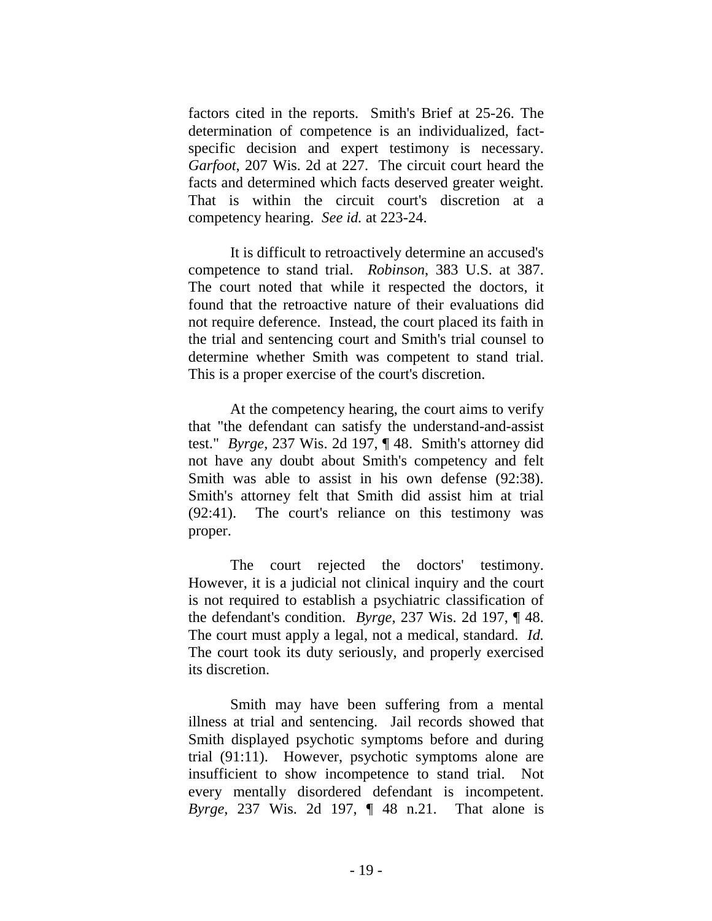factors cited in the reports. Smith's Brief at 25-26. The determination of competence is an individualized, factspecific decision and expert testimony is necessary. *Garfoot*, 207 Wis. 2d at 227. The circuit court heard the facts and determined which facts deserved greater weight. That is within the circuit court's discretion at a competency hearing. *See id.* at 223-24.

It is difficult to retroactively determine an accused's competence to stand trial. *Robinson*, 383 U.S. at 387. The court noted that while it respected the doctors, it found that the retroactive nature of their evaluations did not require deference. Instead, the court placed its faith in the trial and sentencing court and Smith's trial counsel to determine whether Smith was competent to stand trial. This is a proper exercise of the court's discretion.

At the competency hearing, the court aims to verify that "the defendant can satisfy the understand-and-assist test." *Byrge*, 237 Wis. 2d 197, ¶ 48. Smith's attorney did not have any doubt about Smith's competency and felt Smith was able to assist in his own defense (92:38). Smith's attorney felt that Smith did assist him at trial (92:41). The court's reliance on this testimony was proper.

The court rejected the doctors' testimony. However, it is a judicial not clinical inquiry and the court is not required to establish a psychiatric classification of the defendant's condition. *Byrge*, 237 Wis. 2d 197, ¶ 48. The court must apply a legal, not a medical, standard. *Id.* The court took its duty seriously, and properly exercised its discretion.

Smith may have been suffering from a mental illness at trial and sentencing. Jail records showed that Smith displayed psychotic symptoms before and during trial (91:11). However, psychotic symptoms alone are insufficient to show incompetence to stand trial. Not every mentally disordered defendant is incompetent. *Byrge*, 237 Wis. 2d 197, ¶ 48 n.21. That alone is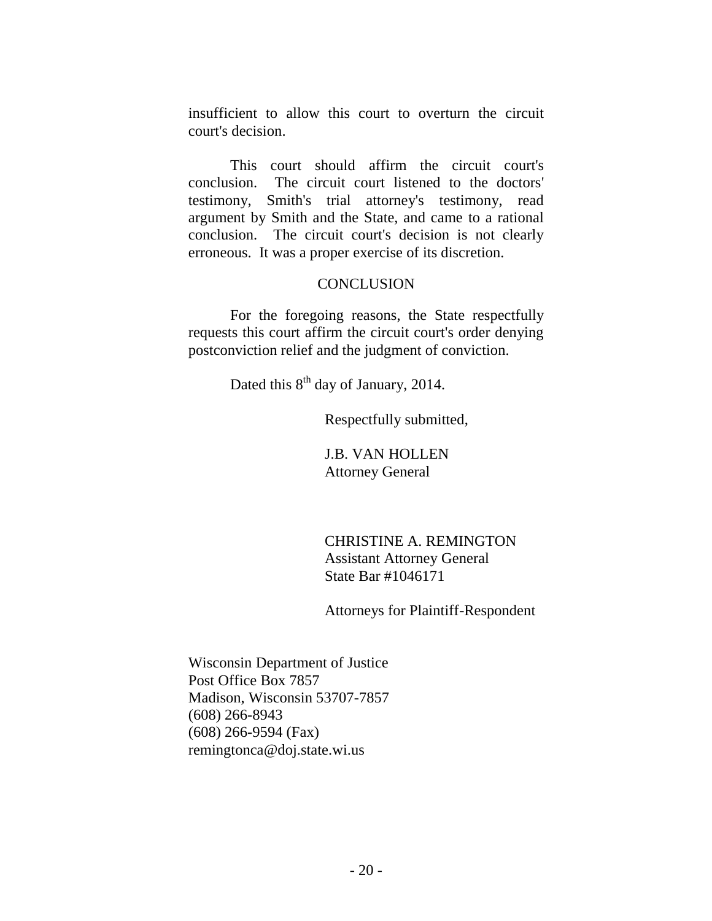insufficient to allow this court to overturn the circuit court's decision.

This court should affirm the circuit court's conclusion. The circuit court listened to the doctors' testimony, Smith's trial attorney's testimony, read argument by Smith and the State, and came to a rational conclusion. The circuit court's decision is not clearly erroneous. It was a proper exercise of its discretion.

## **CONCLUSION**

For the foregoing reasons, the State respectfully requests this court affirm the circuit court's order denying postconviction relief and the judgment of conviction.

Dated this 8<sup>th</sup> day of January, 2014.

Respectfully submitted,

J.B. VAN HOLLEN Attorney General

CHRISTINE A. REMINGTON Assistant Attorney General State Bar #1046171

Attorneys for Plaintiff-Respondent

Wisconsin Department of Justice Post Office Box 7857 Madison, Wisconsin 53707-7857 (608) 266-8943 (608) 266-9594 (Fax) remingtonca@doj.state.wi.us